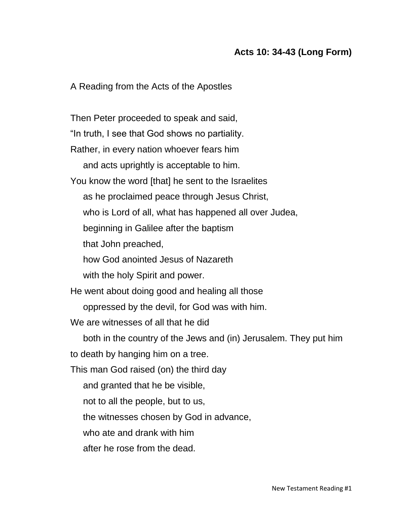## **Acts 10: 34-43 (Long Form)**

A Reading from the Acts of the Apostles

Then Peter proceeded to speak and said, "In truth, I see that God shows no partiality. Rather, in every nation whoever fears him and acts uprightly is acceptable to him. You know the word [that] he sent to the Israelites as he proclaimed peace through Jesus Christ, who is Lord of all, what has happened all over Judea, beginning in Galilee after the baptism that John preached, how God anointed Jesus of Nazareth with the holy Spirit and power. He went about doing good and healing all those oppressed by the devil, for God was with him. We are witnesses of all that he did both in the country of the Jews and (in) Jerusalem. They put him to death by hanging him on a tree. This man God raised (on) the third day and granted that he be visible, not to all the people, but to us, the witnesses chosen by God in advance, who ate and drank with him after he rose from the dead.